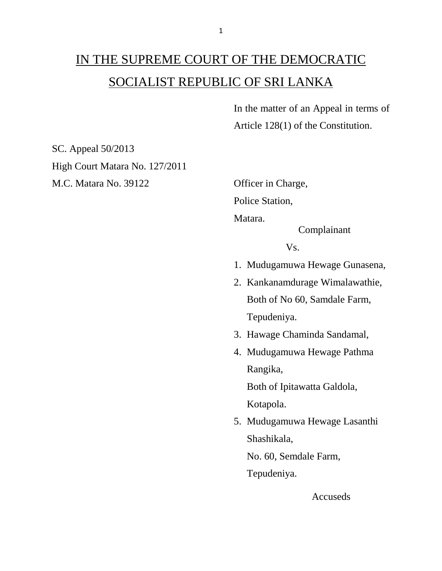## IN THE SUPREME COURT OF THE DEMOCRATIC SOCIALIST REPUBLIC OF SRI LANKA

In the matter of an Appeal in terms of Article 128(1) of the Constitution.

SC. Appeal 50/2013 High Court Matara No. 127/2011 M.C. Matara No. 39122 Officer in Charge,

Police Station, Matara. Complainant Vs. 1. Mudugamuwa Hewage Gunasena, 2. Kankanamdurage Wimalawathie, Both of No 60, Samdale Farm, Tepudeniya. 3. Hawage Chaminda Sandamal, 4. Mudugamuwa Hewage Pathma Rangika, Both of Ipitawatta Galdola, Kotapola. 5. Mudugamuwa Hewage Lasanthi Shashikala, No. 60, Semdale Farm, Tepudeniya.

Accuseds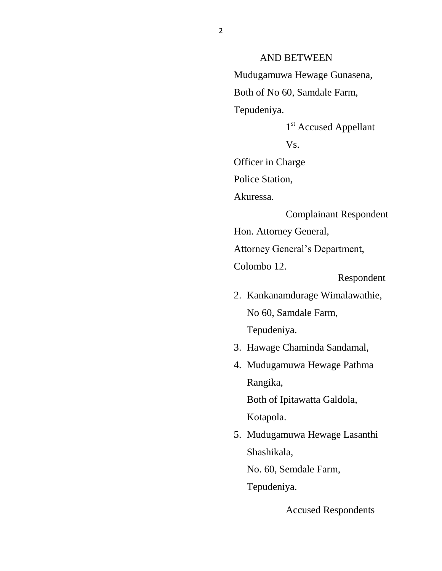AND BETWEEN Mudugamuwa Hewage Gunasena, Both of No 60, Samdale Farm, Tepudeniya.

1<sup>st</sup> Accused Appellant

Vs.

Officer in Charge

Police Station,

Akuressa.

Complainant Respondent

Hon. Attorney General,

Attorney General's Department,

Colombo 12.

Respondent

2. Kankanamdurage Wimalawathie, No 60, Samdale Farm, Tepudeniya.

3. Hawage Chaminda Sandamal,

4. Mudugamuwa Hewage Pathma Rangika, Both of Ipitawatta Galdola,

Kotapola.

5. Mudugamuwa Hewage Lasanthi Shashikala,

No. 60, Semdale Farm,

Tepudeniya.

Accused Respondents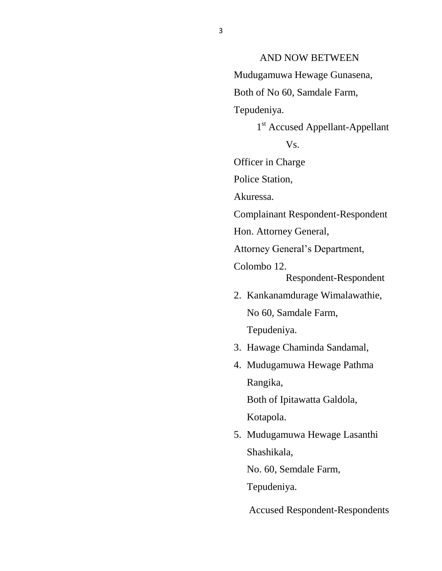## AND NOW BETWEEN

Mudugamuwa Hewage Gunasena,

Both of No 60, Samdale Farm,

Tepudeniya.

## 1<sup>st</sup> Accused Appellant-Appellant

Vs.

Officer in Charge

Police Station,

Akuressa.

Complainant Respondent-Respondent

Hon. Attorney General,

Attorney General's Department,

Colombo 12.

Respondent-Respondent

- 2. Kankanamdurage Wimalawathie, No 60, Samdale Farm, Tepudeniya.
- 3. Hawage Chaminda Sandamal,
- 4. Mudugamuwa Hewage Pathma Rangika, Both of Ipitawatta Galdola,

Kotapola.

5. Mudugamuwa Hewage Lasanthi Shashikala,

No. 60, Semdale Farm,

Tepudeniya.

Accused Respondent-Respondents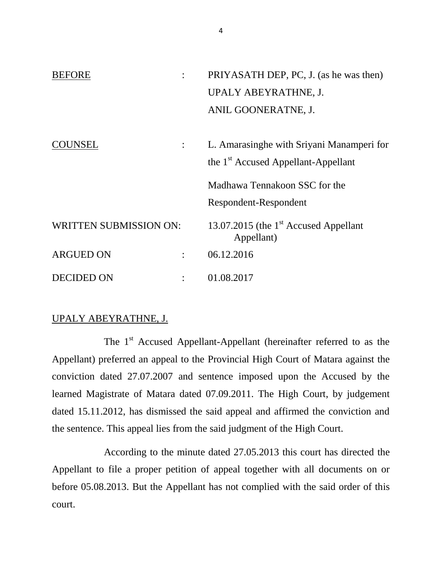| <b>BEFORE</b>                 |  | PRIYASATH DEP, PC, J. (as he was then)                          |
|-------------------------------|--|-----------------------------------------------------------------|
|                               |  | UPALY ABEYRATHNE, J.                                            |
|                               |  | ANIL GOONERATNE, J.                                             |
|                               |  |                                                                 |
| <b>)UNSEL</b>                 |  | L. Amarasinghe with Sriyani Manamperi for                       |
|                               |  | the 1 <sup>st</sup> Accused Appellant-Appellant                 |
|                               |  | Madhawa Tennakoon SSC for the                                   |
|                               |  | Respondent-Respondent                                           |
| <b>WRITTEN SUBMISSION ON:</b> |  | 13.07.2015 (the 1 <sup>st</sup> Accused Appellant<br>Appellant) |
| <b>ARGUED ON</b>              |  | 06.12.2016                                                      |
| <b>DECIDED ON</b>             |  | 01.08.2017                                                      |

## UPALY ABEYRATHNE, J.

The 1<sup>st</sup> Accused Appellant-Appellant (hereinafter referred to as the Appellant) preferred an appeal to the Provincial High Court of Matara against the conviction dated 27.07.2007 and sentence imposed upon the Accused by the learned Magistrate of Matara dated 07.09.2011. The High Court, by judgement dated 15.11.2012, has dismissed the said appeal and affirmed the conviction and the sentence. This appeal lies from the said judgment of the High Court.

According to the minute dated 27.05.2013 this court has directed the Appellant to file a proper petition of appeal together with all documents on or before 05.08.2013. But the Appellant has not complied with the said order of this court.

4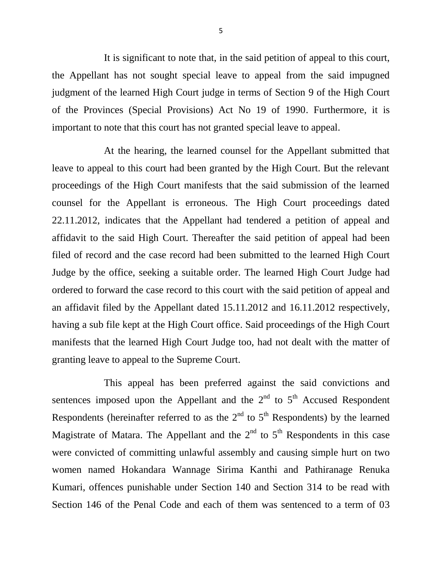It is significant to note that, in the said petition of appeal to this court, the Appellant has not sought special leave to appeal from the said impugned judgment of the learned High Court judge in terms of Section 9 of the High Court of the Provinces (Special Provisions) Act No 19 of 1990. Furthermore, it is important to note that this court has not granted special leave to appeal.

At the hearing, the learned counsel for the Appellant submitted that leave to appeal to this court had been granted by the High Court. But the relevant proceedings of the High Court manifests that the said submission of the learned counsel for the Appellant is erroneous. The High Court proceedings dated 22.11.2012, indicates that the Appellant had tendered a petition of appeal and affidavit to the said High Court. Thereafter the said petition of appeal had been filed of record and the case record had been submitted to the learned High Court Judge by the office, seeking a suitable order. The learned High Court Judge had ordered to forward the case record to this court with the said petition of appeal and an affidavit filed by the Appellant dated 15.11.2012 and 16.11.2012 respectively, having a sub file kept at the High Court office. Said proceedings of the High Court manifests that the learned High Court Judge too, had not dealt with the matter of granting leave to appeal to the Supreme Court.

This appeal has been preferred against the said convictions and sentences imposed upon the Appellant and the  $2<sup>nd</sup>$  to  $5<sup>th</sup>$  Accused Respondent Respondents (hereinafter referred to as the  $2<sup>nd</sup>$  to  $5<sup>th</sup>$  Respondents) by the learned Magistrate of Matara. The Appellant and the  $2<sup>nd</sup>$  to  $5<sup>th</sup>$  Respondents in this case were convicted of committing unlawful assembly and causing simple hurt on two women named Hokandara Wannage Sirima Kanthi and Pathiranage Renuka Kumari, offences punishable under Section 140 and Section 314 to be read with Section 146 of the Penal Code and each of them was sentenced to a term of 03

5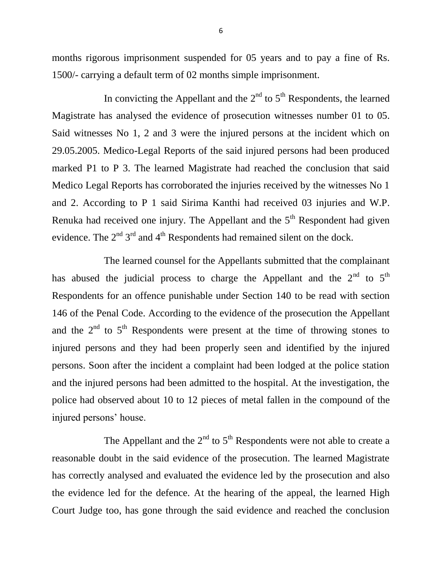months rigorous imprisonment suspended for 05 years and to pay a fine of Rs. 1500/- carrying a default term of 02 months simple imprisonment.

In convicting the Appellant and the  $2<sup>nd</sup>$  to  $5<sup>th</sup>$  Respondents, the learned Magistrate has analysed the evidence of prosecution witnesses number 01 to 05. Said witnesses No 1, 2 and 3 were the injured persons at the incident which on 29.05.2005. Medico-Legal Reports of the said injured persons had been produced marked P1 to P 3. The learned Magistrate had reached the conclusion that said Medico Legal Reports has corroborated the injuries received by the witnesses No 1 and 2. According to P 1 said Sirima Kanthi had received 03 injuries and W.P. Renuka had received one injury. The Appellant and the  $5<sup>th</sup>$  Respondent had given evidence. The  $2<sup>nd</sup> 3<sup>rd</sup>$  and  $4<sup>th</sup>$  Respondents had remained silent on the dock.

The learned counsel for the Appellants submitted that the complainant has abused the judicial process to charge the Appellant and the  $2<sup>nd</sup>$  to  $5<sup>th</sup>$ Respondents for an offence punishable under Section 140 to be read with section 146 of the Penal Code. According to the evidence of the prosecution the Appellant and the  $2<sup>nd</sup>$  to  $5<sup>th</sup>$  Respondents were present at the time of throwing stones to injured persons and they had been properly seen and identified by the injured persons. Soon after the incident a complaint had been lodged at the police station and the injured persons had been admitted to the hospital. At the investigation, the police had observed about 10 to 12 pieces of metal fallen in the compound of the injured persons' house.

The Appellant and the  $2<sup>nd</sup>$  to  $5<sup>th</sup>$  Respondents were not able to create a reasonable doubt in the said evidence of the prosecution. The learned Magistrate has correctly analysed and evaluated the evidence led by the prosecution and also the evidence led for the defence. At the hearing of the appeal, the learned High Court Judge too, has gone through the said evidence and reached the conclusion